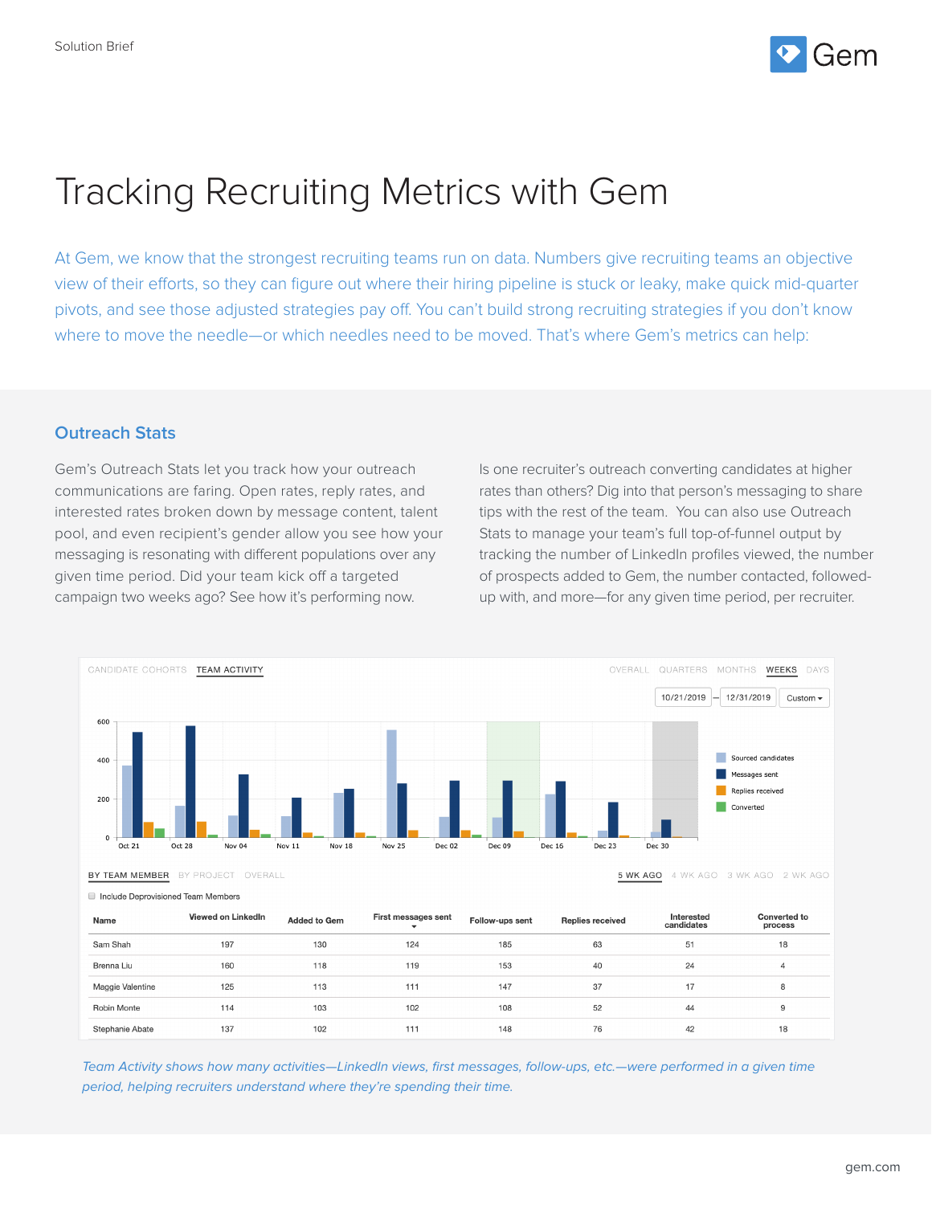

## Tracking Recruiting Metrics with Gem

At Gem, we know that the strongest recruiting teams run on data. Numbers give recruiting teams an objective view of their efforts, so they can figure out where their hiring pipeline is stuck or leaky, make quick mid-quarter pivots, and see those adjusted strategies pay off. You can't build strong recruiting strategies if you don't know where to move the needle—or which needles need to be moved. That's where Gem's metrics can help:

## **Outreach Stats**

Gem's Outreach Stats let you track how your outreach communications are faring. Open rates, reply rates, and interested rates broken down by message content, talent pool, and even recipient's gender allow you see how your messaging is resonating with different populations over any given time period. Did your team kick off a targeted campaign two weeks ago? See how it's performing now.

Is one recruiter's outreach converting candidates at higher rates than others? Dig into that person's messaging to share tips with the rest of the team. You can also use Outreach Stats to manage your team's full top-of-funnel output by tracking the number of LinkedIn profiles viewed, the number of prospects added to Gem, the number contacted, followedup with, and more—for any given time period, per recruiter.



| Name             | Viewed on LinkedIn | <b>Added to Gem</b> | First messages sent | Follow-ups sent | <b>Replies received</b> | Interested<br>candidates | <b>Converted to</b><br>process |
|------------------|--------------------|---------------------|---------------------|-----------------|-------------------------|--------------------------|--------------------------------|
| Sam Shah         | 197                | 130                 | 124                 | 185             | 63                      | 51                       | 18                             |
| Brenna Liu       | 160                | 118                 | 119                 | 153             | 40                      | 24                       | 4                              |
| Maggie Valentine | 125                | 113                 | 111                 | 147             | 37                      | 17                       | 8                              |
| Robin Monte      | 114                | 103                 | 102                 | 108             | 52                      | 44                       | 9                              |
| Stephanie Abate  | 137                | 102                 | 111                 | 148             | 76                      | 42                       | 18                             |

Team Activity shows how many activities—LinkedIn views, first messages, follow-ups, etc.—were performed in a given time period, helping recruiters understand where they're spending their time.